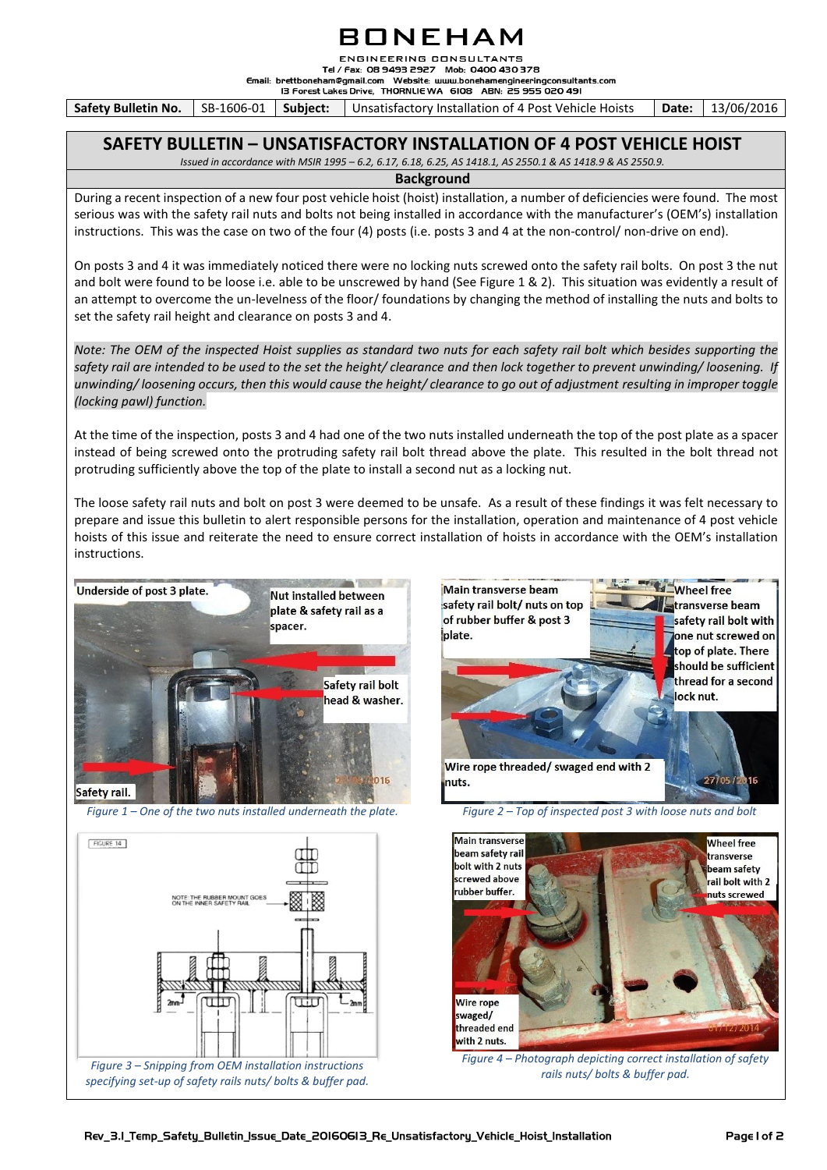## BONEHAM

**ENGINEERING CONSULTANTS** Tel / Fax: 08 9493 2927 Mob: 0400 430 378

Email: brettboneham@gmail.com Website: www.bonehamengineeringconsultants.com

13 Forest Lakes Drive, THORNLIE WA 6108 ABN: 25 955 020 491

**Safety Bulletin No.** SB-1606-01 | Subject: | Unsatisfactory Installation of 4 Post Vehicle Hoists | Date: | 13/06/2016

### **SAFETY BULLETIN – UNSATISFACTORY INSTALLATION OF 4 POST VEHICLE HOIST**

*Issued in accordance with MSIR 1995 – 6.2, 6.17, 6.18, 6.25, AS 1418.1, AS 2550.1 & AS 1418.9 & AS 2550.9.*

### **Background**

During a recent inspection of a new four post vehicle hoist (hoist) installation, a number of deficiencies were found. The most serious was with the safety rail nuts and bolts not being installed in accordance with the manufacturer's (OEM's) installation instructions. This was the case on two of the four (4) posts (i.e. posts 3 and 4 at the non-control/ non-drive on end).

On posts 3 and 4 it was immediately noticed there were no locking nuts screwed onto the safety rail bolts. On post 3 the nut and bolt were found to be loose i.e. able to be unscrewed by hand (See Figure 1 & 2). This situation was evidently a result of an attempt to overcome the un-levelness of the floor/ foundations by changing the method of installing the nuts and bolts to set the safety rail height and clearance on posts 3 and 4.

*Note: The OEM of the inspected Hoist supplies as standard two nuts for each safety rail bolt which besides supporting the safety rail are intended to be used to the set the height/ clearance and then lock together to prevent unwinding/ loosening. If unwinding/ loosening occurs, then this would cause the height/ clearance to go out of adjustment resulting in improper toggle (locking pawl) function.*

At the time of the inspection, posts 3 and 4 had one of the two nuts installed underneath the top of the post plate as a spacer instead of being screwed onto the protruding safety rail bolt thread above the plate. This resulted in the bolt thread not protruding sufficiently above the top of the plate to install a second nut as a locking nut.

The loose safety rail nuts and bolt on post 3 were deemed to be unsafe. As a result of these findings it was felt necessary to prepare and issue this bulletin to alert responsible persons for the installation, operation and maintenance of 4 post vehicle hoists of this issue and reiterate the need to ensure correct installation of hoists in accordance with the OEM's installation instructions.



*Figure 1 – One of the two nuts installed underneath the plate. Figure 2 – Top of inspected post 3 with loose nuts and bolt*

FIGURE 14





*Figure 4 – Photograph depicting correct installation of safety rails nuts/ bolts & buffer pad.*